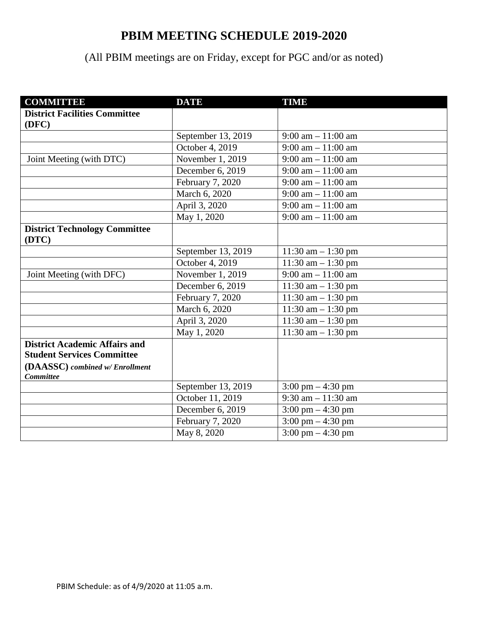## **PBIM MEETING SCHEDULE 2019-2020**

## (All PBIM meetings are on Friday, except for PGC and/or as noted)

| <b>COMMITTEE</b>                                                                                                                 | <b>DATE</b>        | <b>TIME</b>                         |  |
|----------------------------------------------------------------------------------------------------------------------------------|--------------------|-------------------------------------|--|
| <b>District Facilities Committee</b><br>(DFC)                                                                                    |                    |                                     |  |
|                                                                                                                                  | September 13, 2019 | $9:00$ am $-11:00$ am               |  |
|                                                                                                                                  | October 4, 2019    | $9:00$ am $-11:00$ am               |  |
| Joint Meeting (with DTC)                                                                                                         | November 1, 2019   | $9:00$ am $-11:00$ am               |  |
|                                                                                                                                  | December 6, 2019   | $9:00$ am $-11:00$ am               |  |
|                                                                                                                                  | February 7, 2020   | $9:00$ am $-11:00$ am               |  |
|                                                                                                                                  | March 6, 2020      | $9:00$ am $-11:00$ am               |  |
|                                                                                                                                  | April 3, 2020      | $9:00$ am $-11:00$ am               |  |
|                                                                                                                                  | May 1, 2020        | $9:00$ am $-11:00$ am               |  |
| <b>District Technology Committee</b><br>(DTC)                                                                                    |                    |                                     |  |
|                                                                                                                                  | September 13, 2019 | 11:30 am $- 1:30$ pm                |  |
|                                                                                                                                  | October 4, 2019    | 11:30 am $- 1:30$ pm                |  |
| Joint Meeting (with DFC)                                                                                                         | November 1, 2019   | $9:00$ am $-11:00$ am               |  |
|                                                                                                                                  | December 6, 2019   | 11:30 am $- 1:30$ pm                |  |
|                                                                                                                                  | February 7, 2020   | $11:30$ am $-1:30$ pm               |  |
|                                                                                                                                  | March 6, 2020      | $11:30$ am $- 1:30$ pm              |  |
|                                                                                                                                  | April 3, 2020      | 11:30 am $- 1:30$ pm                |  |
|                                                                                                                                  | May 1, 2020        | $11:30$ am $-1:30$ pm               |  |
| <b>District Academic Affairs and</b><br><b>Student Services Committee</b><br>(DAASSC) combined w/ Enrollment<br><b>Committee</b> |                    |                                     |  |
|                                                                                                                                  | September 13, 2019 | $3:00 \text{ pm} - 4:30 \text{ pm}$ |  |
|                                                                                                                                  | October 11, 2019   | $9:30$ am $-11:30$ am               |  |
|                                                                                                                                  | December 6, 2019   | $3:00 \text{ pm} - 4:30 \text{ pm}$ |  |
|                                                                                                                                  | February 7, 2020   | $3:00$ pm $-4:30$ pm                |  |
|                                                                                                                                  | May 8, 2020        | $3:00 \text{ pm} - 4:30 \text{ pm}$ |  |